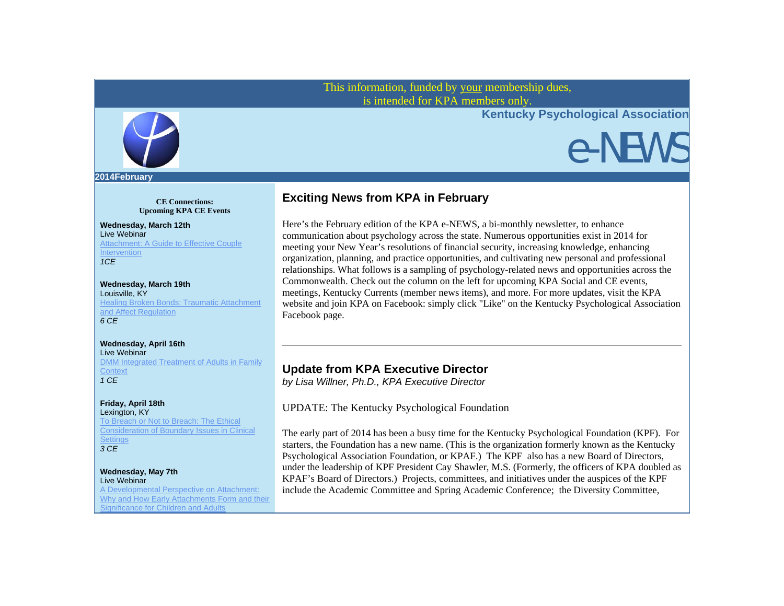This information, funded by your membership dues, is intended for KPA members only.



**Kentucky Psychological Association**

# e-NEWS

#### **2014February**

**CE Connections: Upcoming KPA CE Events**

#### **Wednesday, March 12th** Live Webinar

Attachment: A Guide to Effective Couple **Intervention** *1CE*

### **Wednesday, March 19th** Louisville, KY

Healing Broken Bonds: Traumatic Attachment and Affect Regulation *6 CE*

### **Wednesday, April 16th**

Live Webinar DMM Integrated Treatment of Adults in Family **Context** *1 CE*

## **Friday, April 18th**

Lexington, KY To Breach or Not to Breach: The Ethical Consideration of Boundary Issues in Clinical **Settings** *3 CE*

#### **Wednesday, May 7th**  Live Webinar

A Developmental Perspective on Attachment: Why and How Early Attachments Form and their Significance for Children and Adults

# **Exciting News from KPA in February**

Here's the February edition of the KPA e-NEWS, a bi-monthly newsletter, to enhance communication about psychology across the state. Numerous opportunities exist in 2014 for meeting your New Year's resolutions of financial security, increasing knowledge, enhancing organization, planning, and practice opportunities, and cultivating new personal and professional relationships. What follows is a sampling of psychology-related news and opportunities across the Commonwealth. Check out the column on the left for upcoming KPA Social and CE events, meetings, Kentucky Currents (member news items), and more. For more updates, visit the KPA website and join KPA on Facebook: simply click "Like" on the Kentucky Psychological Association Facebook page.

# **Update from KPA Executive Director**

*by Lisa Willner, Ph.D., KPA Executive Director*

# UPDATE: The Kentucky Psychological Foundation

The early part of 2014 has been a busy time for the Kentucky Psychological Foundation (KPF). For starters, the Foundation has a new name. (This is the organization formerly known as the Kentucky Psychological Association Foundation, or KPAF.) The KPF also has a new Board of Directors, under the leadership of KPF President Cay Shawler, M.S. (Formerly, the officers of KPA doubled as KPAF's Board of Directors.) Projects, committees, and initiatives under the auspices of the KPF include the Academic Committee and Spring Academic Conference; the Diversity Committee,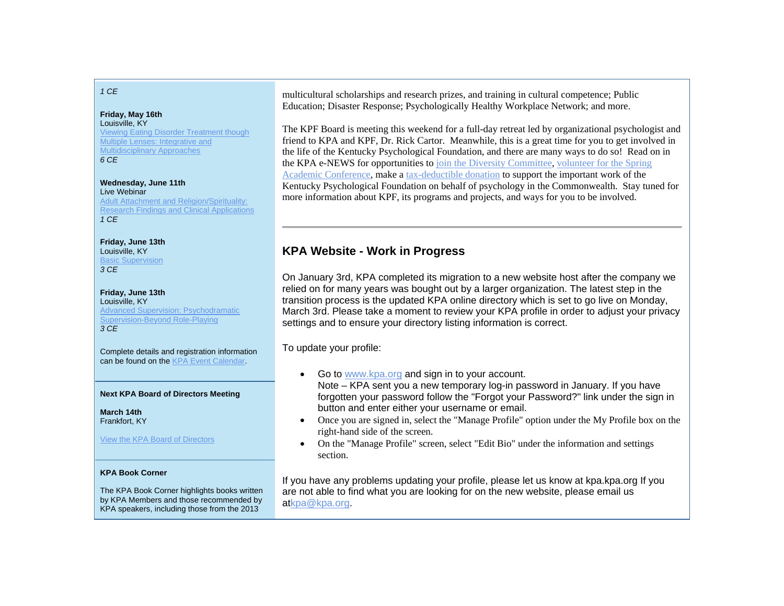### *1 CE*

### **Friday, May 16th**

Louisville, KY Viewing Eating Disorder Treatment though Multiple Lenses: Integrative and Multidisciplinary Approaches *6 CE*

#### **Wednesday, June 11th** Live Webinar

Adult Attachment and Religion/Spirituality: Research Findings and Clinical Applications *1 CE*

**Friday, June 13th** Louisville, KY Basic Supervision *3 CE*

**Friday, June 13th** Louisville, KY Advanced Supervision: Psychodramatic Supervision-Beyond Role-Playing *3 CE*

Complete details and registration information can be found on the KPA Event Calendar.

### **Next KPA Board of Directors Meeting**

**March 14th**Frankfort, KY

### View the KPA Board of Directors

### **KPA Book Corner**

The KPA Book Corner highlights books written by KPA Members and those recommended by KPA speakers, including those from the 2013

multicultural scholarships and research prizes, and training in cultural competence; Public Education; Disaster Response; Psychologically Healthy Workplace Network; and more.

The KPF Board is meeting this weekend for a full-day retreat led by organizational psychologist and friend to KPA and KPF, Dr. Rick Cartor. Meanwhile, this is a great time for you to get involved in the life of the Kentucky Psychological Foundation, and there are many ways to do so! Read on in the KPA e-NEWS for opportunities to join the Diversity Committee, volunteer for the Spring Academic Conference, make a tax-deductible donation to support the important work of the Kentucky Psychological Foundation on behalf of psychology in the Commonwealth. Stay tuned for more information about KPF, its programs and projects, and ways for you to be involved.

# **KPA Website - Work in Progress**

On January 3rd, KPA completed its migration to a new website host after the company we relied on for many years was bought out by a larger organization. The latest step in the transition process is the updated KPA online directory which is set to go live on Monday, March 3rd. Please take a moment to review your KPA profile in order to adjust your privacy settings and to ensure your directory listing information is correct.

To update your profile:

- Go to www.kpa.org and sign in to your account. Note – KPA sent you a new temporary log-in password in January. If you have forgotten your password follow the "Forgot your Password?" link under the sign in button and enter either your username or email.
- $\bullet$  Once you are signed in, select the "Manage Profile" option under the My Profile box on the right-hand side of the screen.
- $\bullet$  On the "Manage Profile" screen, select "Edit Bio" under the information and settings section.

If you have any problems updating your profile, please let us know at kpa.kpa.org If you are not able to find what you are looking for on the new website, please email us atkpa@kpa.org.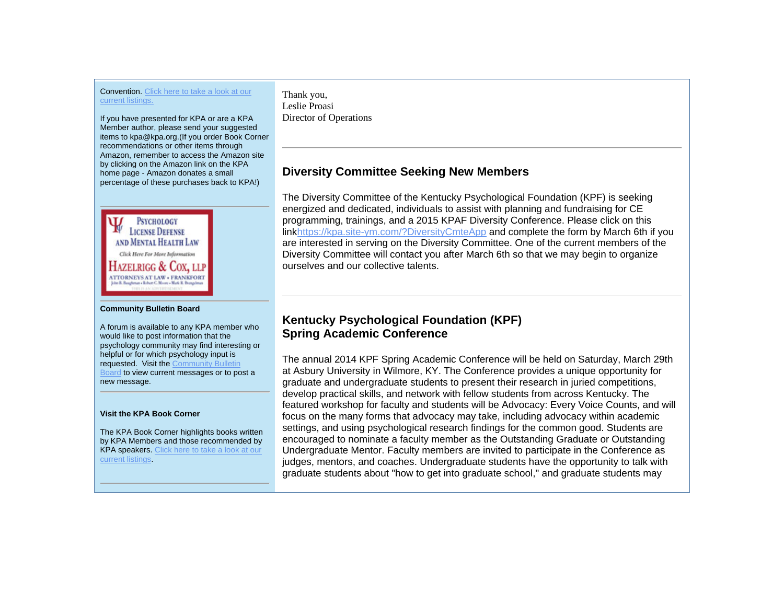### Convention. Click here to take a look at our current listings.

If you have presented for KPA or are a KPA Member author, please send your suggested items to kpa@kpa.org.(If you order Book Corner recommendations or other items through Amazon, remember to access the Amazon site by clicking on the Amazon link on the KPA home page - Amazon donates a small percentage of these purchases back to KPA!)



#### **Community Bulletin Board**

A forum is available to any KPA member who would like to post information that the psychology community may find interesting or helpful or for which psychology input is requested. Visit the Community Bulletin Board to view current messages or to post a new message.

### **Visit the KPA Book Corner**

The KPA Book Corner highlights books written by KPA Members and those recommended by KPA speakers. Click here to take a look at our current listings.

Thank you, Leslie Proasi Director of Operations

# **Diversity Committee Seeking New Members**

The Diversity Committee of the Kentucky Psychological Foundation (KPF) is seeking energized and dedicated, individuals to assist with planning and fundraising for CE programming, trainings, and a 2015 KPAF Diversity Conference. Please click on this linkhttps://kpa.site-ym.com/?DiversityCmteApp and complete the form by March 6th if you are interested in serving on the Diversity Committee. One of the current members of the Diversity Committee will contact you after March 6th so that we may begin to organize ourselves and our collective talents.

# **Kentucky Psychological Foundation (KPF) Spring Academic Conference**

The annual 2014 KPF Spring Academic Conference will be held on Saturday, March 29th at Asbury University in Wilmore, KY. The Conference provides a unique opportunity for graduate and undergraduate students to present their research in juried competitions, develop practical skills, and network with fellow students from across Kentucky. The featured workshop for faculty and students will be Advocacy: Every Voice Counts, and will focus on the many forms that advocacy may take, including advocacy within academic settings, and using psychological research findings for the common good. Students are encouraged to nominate a faculty member as the Outstanding Graduate or Outstanding Undergraduate Mentor. Faculty members are invited to participate in the Conference as judges, mentors, and coaches. Undergraduate students have the opportunity to talk with graduate students about "how to get into graduate school," and graduate students may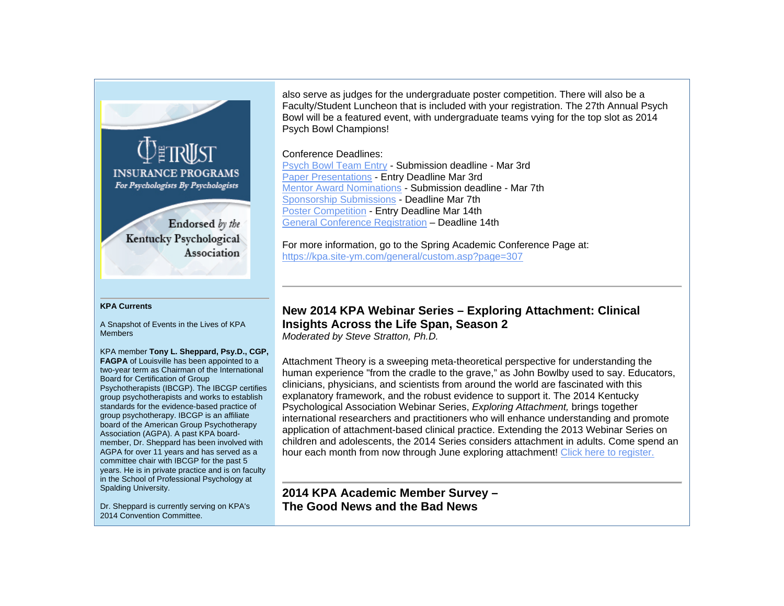

Endorsed by the Kentucky Psychological Association

### **KPA Currents**

A Snapshot of Events in the Lives of KPA Members

KPA member **Tony L. Sheppard, Psy.D., CGP, FAGPA** of Louisville has been appointed to a two-year term as Chairman of the International Board for Certification of Group Psychotherapists (IBCGP). The IBCGP certifies group psychotherapists and works to establish standards for the evidence-based practice of group psychotherapy. IBCGP is an affiliate board of the American Group Psychotherapy Association (AGPA). A past KPA boardmember, Dr. Sheppard has been involved with AGPA for over 11 years and has served as a committee chair with IBCGP for the past 5 years. He is in private practice and is on faculty in the School of Professional Psychology at Spalding University.

Dr. Sheppard is currently serving on KPA's 2014 Convention Committee.

also serve as judges for the undergraduate poster competition. There will also be a Faculty/Student Luncheon that is included with your registration. The 27th Annual Psych Bowl will be a featured event, with undergraduate teams vying for the top slot as 2014 Psych Bowl Champions!

### Conference Deadlines:

Psych Bowl Team Entry - Submission deadline - Mar 3rd Paper Presentations - Entry Deadline Mar 3rd Mentor Award Nominations - Submission deadline - Mar 7th Sponsorship Submissions - Deadline Mar 7th Poster Competition - Entry Deadline Mar 14th General Conference Registration – Deadline 14th

For more information, go to the Spring Academic Conference Page at: https://kpa.site-ym.com/general/custom.asp?page=307

# **New 2014 KPA Webinar Series – Exploring Attachment: Clinical Insights Across the Life Span, Season 2**

*Moderated by Steve Stratton, Ph.D.*

Attachment Theory is a sweeping meta-theoretical perspective for understanding the human experience "from the cradle to the grave," as John Bowlby used to say. Educators, clinicians, physicians, and scientists from around the world are fascinated with this explanatory framework, and the robust evidence to support it. The 2014 Kentucky Psychological Association Webinar Series, *Exploring Attachment,* brings together international researchers and practitioners who will enhance understanding and promote application of attachment-based clinical practice. Extending the 2013 Webinar Series on children and adolescents, the 2014 Series considers attachment in adults. Come spend an hour each month from now through June exploring attachment! Click here to register.

**2014 KPA Academic Member Survey – The Good News and the Bad News**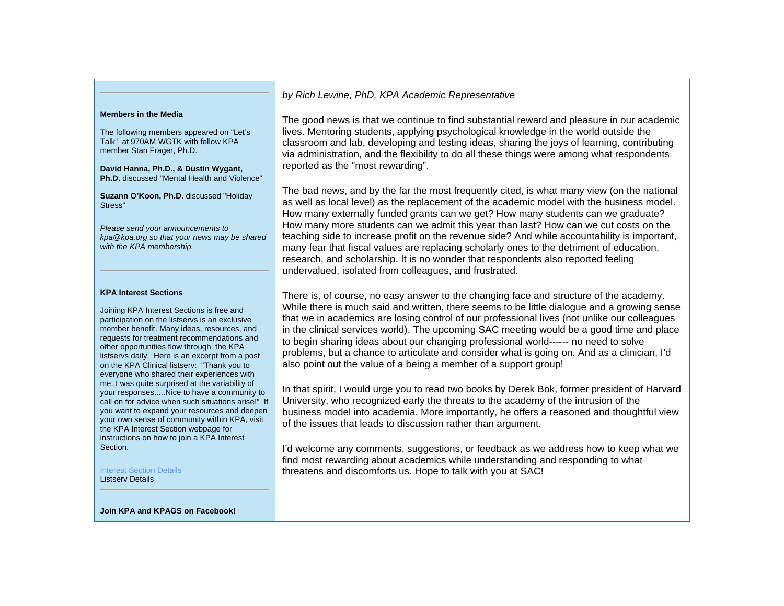#### **Members in the Media**

The following members appeared on "Let's Talk" at 970AM WGTK with fellow KPA member Stan Frager, Ph.D.

**David Hanna, Ph.D., & Dustin Wygant, Ph.D.** discussed "Mental Health and Violence"

**Suzann O'Koon, Ph.D.** discussed "Holiday Stress"

*Please send your announcements to kpa@kpa.org so that your news may be shared with the KPA membership.* 

#### **KPA Interest Sections**

Joining KPA Interest Sections is free and participation on the listservs is an exclusive member benefit. Many ideas, resources, and requests for treatment recommendations and other opportunities flow through the KPA listservs daily. Here is an excerpt from a post on the KPA Clinical listserv: "Thank you to everyone who shared their experiences with me. I was quite surprised at the variability of your responses.....Nice to have a community to call on for advice when such situations arise!" If you want to expand your resources and deepen your own sense of community within KPA, visit the KPA Interest Section webpage for instructions on how to join a KPA Interest Section.

Interest Section DetailsListserv Details

### *by Rich Lewine, PhD, KPA Academic Representative*

The good news is that we continue to find substantial reward and pleasure in our academic lives. Mentoring students, applying psychological knowledge in the world outside the classroom and lab, developing and testing ideas, sharing the joys of learning, contributing via administration, and the flexibility to do all these things were among what respondents reported as the "most rewarding".

The bad news, and by the far the most frequently cited, is what many view (on the national as well as local level) as the replacement of the academic model with the business model. How many externally funded grants can we get? How many students can we graduate? How many more students can we admit this year than last? How can we cut costs on the teaching side to increase profit on the revenue side? And while accountability is important, many fear that fiscal values are replacing scholarly ones to the detriment of education, research, and scholarship. It is no wonder that respondents also reported feeling undervalued, isolated from colleagues, and frustrated.

There is, of course, no easy answer to the changing face and structure of the academy. While there is much said and written, there seems to be little dialogue and a growing sense that we in academics are losing control of our professional lives (not unlike our colleagues in the clinical services world). The upcoming SAC meeting would be a good time and place to begin sharing ideas about our changing professional world-‐-‐-‐ no need to solve problems, but a chance to articulate and consider what is going on. And as a clinician, I'd also point out the value of a being a member of a support group!

In that spirit, I would urge you to read two books by Derek Bok, former president of Harvard University, who recognized early the threats to the academy of the intrusion of the business model into academia. More importantly, he offers a reasoned and thoughtful view of the issues that leads to discussion rather than argument.

I'd welcome any comments, suggestions, or feedback as we address how to keep what we find most rewarding about academics while understanding and responding to what threatens and discomforts us. Hope to talk with you at SAC!

**Join KPA and KPAGS on Facebook!**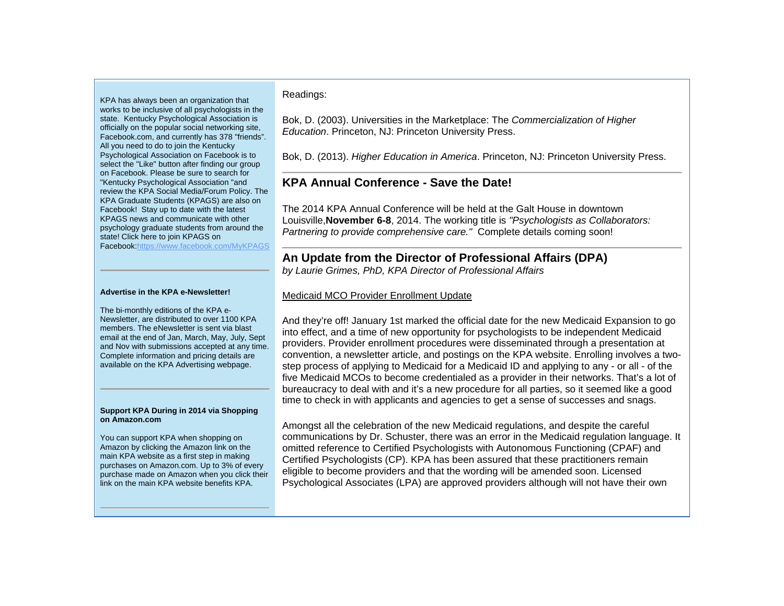KPA has always been an organization that works to be inclusive of all psychologists in the state. Kentucky Psychological Association is officially on the popular social networking site, Facebook.com, and currently has 378 "friends". All you need to do to join the Kentucky Psychological Association on Facebook is to select the "Like" button after finding our group on Facebook. Please be sure to search for "Kentucky Psychological Association "and review the KPA Social Media/Forum Policy. The KPA Graduate Students (KPAGS) are also on Facebook! Stay up to date with the latest KPAGS news and communicate with other psychology graduate students from around the state! Click here to join KPAGS on Facebook:https://www.facebook.com/MyKPAGS

#### **Advertise in the KPA e-Newsletter!**

The bi-monthly editions of the KPA e-Newsletter, are distributed to over 1100 KPA members. The eNewsletter is sent via blast email at the end of Jan, March, May, July, Sept and Nov with submissions accepted at any time. Complete information and pricing details are available on the KPA Advertising webpage.

#### **Support KPA During in 2014 via Shopping on Amazon.com**

You can support KPA when shopping on Amazon by clicking the Amazon link on the main KPA website as a first step in making purchases on Amazon.com. Up to 3% of every purchase made on Amazon when you click their link on the main KPA website benefits KPA.

### Readings:

Bok, D. (2003). Universities in the Marketplace: The *Commercialization of Higher Education*. Princeton, NJ: Princeton University Press.

Bok, D. (2013). *Higher Education in America*. Princeton, NJ: Princeton University Press.

# **KPA Annual Conference - Save the Date!**

The 2014 KPA Annual Conference will be held at the Galt House in downtown Louisville,**November 6-8**, 2014. The working title is *"Psychologists as Collaborators: Partnering to provide comprehensive care."* Complete details coming soon!

### **An Update from the Director of Professional Affairs (DPA)** *by Laurie Grimes, PhD, KPA Director of Professional Affairs*

### Medicaid MCO Provider Enrollment Update

And they're off! January 1st marked the official date for the new Medicaid Expansion to go into effect, and a time of new opportunity for psychologists to be independent Medicaid providers. Provider enrollment procedures were disseminated through a presentation at convention, a newsletter article, and postings on the KPA website. Enrolling involves a twostep process of applying to Medicaid for a Medicaid ID and applying to any - or all - of the five Medicaid MCOs to become credentialed as a provider in their networks. That's a lot of bureaucracy to deal with and it's a new procedure for all parties, so it seemed like a good time to check in with applicants and agencies to get a sense of successes and snags.

Amongst all the celebration of the new Medicaid regulations, and despite the careful communications by Dr. Schuster, there was an error in the Medicaid regulation language. It omitted reference to Certified Psychologists with Autonomous Functioning (CPAF) and Certified Psychologists (CP). KPA has been assured that these practitioners remain eligible to become providers and that the wording will be amended soon. Licensed Psychological Associates (LPA) are approved providers although will not have their own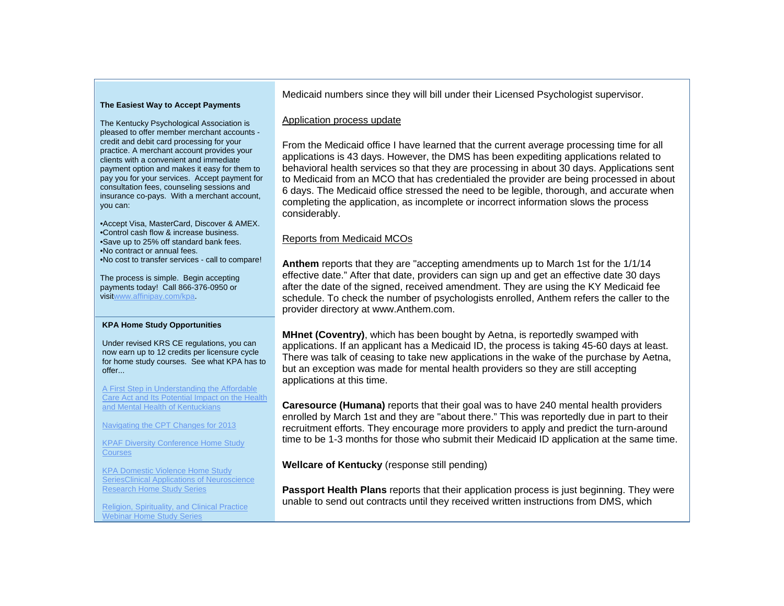### **The Easiest Way to Accept Payments**

The Kentucky Psychological Association is pleased to offer member merchant accounts credit and debit card processing for your practice. A merchant account provides your clients with a convenient and immediate payment option and makes it easy for them to pay you for your services. Accept payment for consultation fees, counseling sessions and insurance co-pays. With a merchant account, you can:

•Accept Visa, MasterCard, Discover & AMEX. •Control cash flow & increase business. •Save up to 25% off standard bank fees. •No contract or annual fees. •No cost to transfer services - call to compare!

The process is simple. Begin accepting payments today! Call 866-376-0950 or visitwww.affinipay.com/kpa.

### **KPA Home Study Opportunities**

Under revised KRS CE regulations, you can now earn up to 12 credits per licensure cycle for home study courses. See what KPA has to offer...

A First Step in Understanding the Affordable Care Act and Its Potential Impact on the Health and Mental Health of Kentuckians

Navigating the CPT Changes for 2013

KPAF Diversity Conference Home Study **Courses** 

KPA Domestic Violence Home Study SeriesClinical Applications of Neuroscience Research Home Study Series

Religion, Spirituality, and Clinical Practice Webinar Home Study Series

Medicaid numbers since they will bill under their Licensed Psychologist supervisor.

### Application process update

From the Medicaid office I have learned that the current average processing time for all applications is 43 days. However, the DMS has been expediting applications related to behavioral health services so that they are processing in about 30 days. Applications sent to Medicaid from an MCO that has credentialed the provider are being processed in about 6 days. The Medicaid office stressed the need to be legible, thorough, and accurate when completing the application, as incomplete or incorrect information slows the process considerably.

## Reports from Medicaid MCOs

**Anthem** reports that they are "accepting amendments up to March 1st for the 1/1/14 effective date." After that date, providers can sign up and get an effective date 30 days after the date of the signed, received amendment. They are using the KY Medicaid fee schedule. To check the number of psychologists enrolled, Anthem refers the caller to the provider directory at www.Anthem.com.

**MHnet (Coventry)**, which has been bought by Aetna, is reportedly swamped with applications. If an applicant has a Medicaid ID, the process is taking 45-60 days at least. There was talk of ceasing to take new applications in the wake of the purchase by Aetna, but an exception was made for mental health providers so they are still accepting applications at this time.

**Caresource (Humana)** reports that their goal was to have 240 mental health providers enrolled by March 1st and they are "about there." This was reportedly due in part to their recruitment efforts. They encourage more providers to apply and predict the turn-around time to be 1-3 months for those who submit their Medicaid ID application at the same time.

**Wellcare of Kentucky** (response still pending)

**Passport Health Plans** reports that their application process is just beginning. They were unable to send out contracts until they received written instructions from DMS, which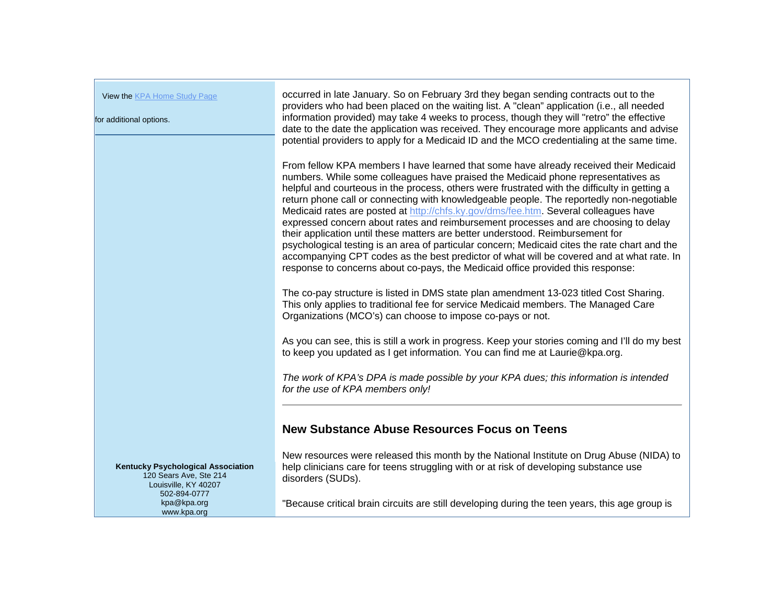View the KPA Home Study Page for additional options. occurred in late January. So on February 3rd they began sending contracts out to the providers who had been placed on the waiting list. A "clean" application (i.e., all needed information provided) may take 4 weeks to process, though they will "retro" the effective date to the date the application was received. They encourage more applicants and advise potential providers to apply for a Medicaid ID and the MCO credentialing at the same time. From fellow KPA members I have learned that some have already received their Medicaid numbers. While some colleagues have praised the Medicaid phone representatives as helpful and courteous in the process, others were frustrated with the difficulty in getting a return phone call or connecting with knowledgeable people. The reportedly non-negotiable Medicaid rates are posted at http://chfs.ky.gov/dms/fee.htm. Several colleagues have expressed concern about rates and reimbursement processes and are choosing to delay their application until these matters are better understood. Reimbursement for psychological testing is an area of particular concern; Medicaid cites the rate chart and the accompanying CPT codes as the best predictor of what will be covered and at what rate. In response to concerns about co-pays, the Medicaid office provided this response: The co-pay structure is listed in DMS state plan amendment 13-023 titled Cost Sharing. This only applies to traditional fee for service Medicaid members. The Managed Care Organizations (MCO's) can choose to impose co-pays or not. As you can see, this is still a work in progress. Keep your stories coming and I'll do my best to keep you updated as I get information. You can find me at Laurie@kpa.org. *The work of KPA's DPA is made possible by your KPA dues; this information is intended for the use of KPA members only!* **New Substance Abuse Resources Focus on Teens**New resources were released this month by the National Institute on Drug Abuse (NIDA) to help clinicians care for teens struggling with or at risk of developing substance use disorders (SUDs). "Because critical brain circuits are still developing during the teen years, this age group is **Kentucky Psychological Association**  120 Sears Ave, Ste 214 Louisville, KY 40207 502-894-0777 kpa@kpa.org www.kpa.org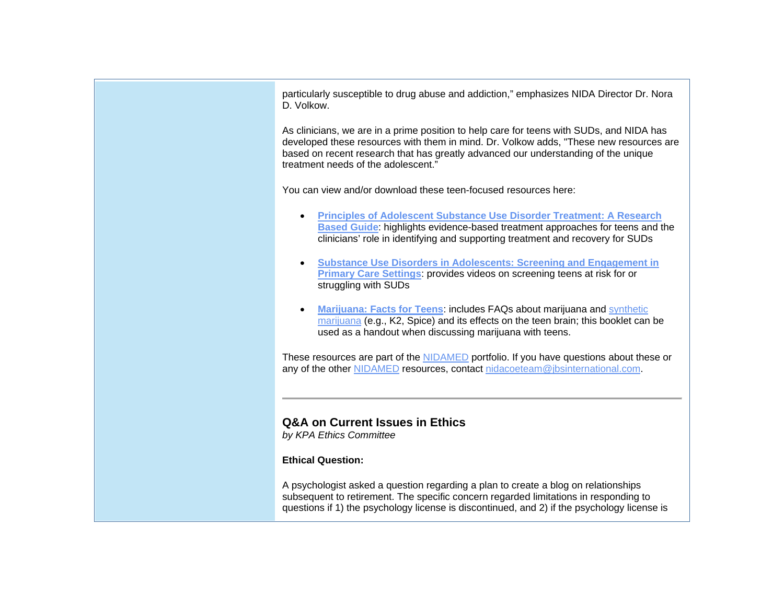particularly susceptible to drug abuse and addiction," emphasizes NIDA Director Dr. Nora D. Volkow.

As clinicians, we are in a prime position to help care for teens with SUDs, and NIDA has developed these resources with them in mind. Dr. Volkow adds, "These new resources are based on recent research that has greatly advanced our understanding of the unique treatment needs of the adolescent."

You can view and/or download these teen-focused resources here:

- **Principles of Adolescent Substance Use Disorder Treatment: A Research Based Guide**: highlights evidence-based treatment approaches for teens and the clinicians' role in identifying and supporting treatment and recovery for SUDs
- . **Substance Use Disorders in Adolescents: Screening and Engagement in Primary Care Settings**: provides videos on screening teens at risk for or struggling with SUDs
- . **Marijuana: Facts for Teens**: includes FAQs about marijuana and synthetic marijuana (e.g., K2, Spice) and its effects on the teen brain; this booklet can be used as a handout when discussing marijuana with teens.

These resources are part of the NIDAMED portfolio. If you have questions about these or any of the other NIDAMED resources, contact nidacoeteam@jbsinternational.com.

# **Q&A on Current Issues in Ethics**

*by KPA Ethics Committee*

### **Ethical Question:**

A psychologist asked a question regarding a plan to create a blog on relationships subsequent to retirement. The specific concern regarded limitations in responding to questions if 1) the psychology license is discontinued, and 2) if the psychology license is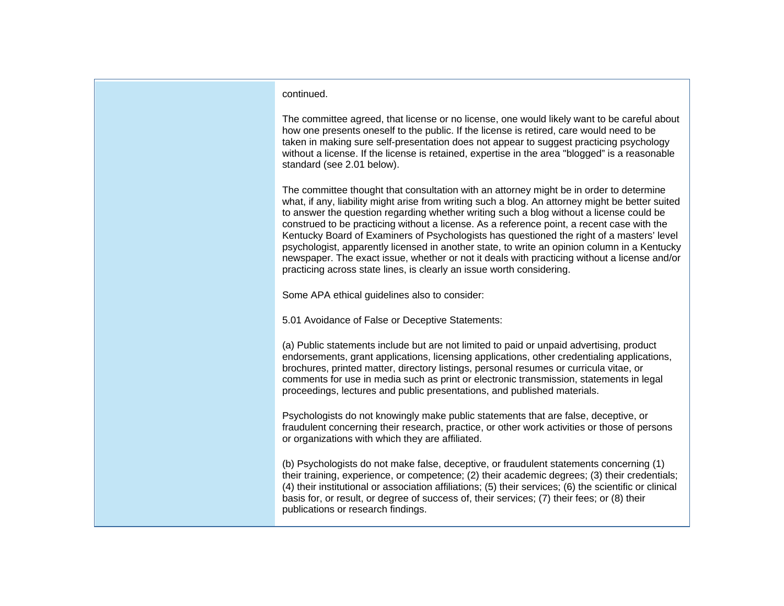### continued.

The committee agreed, that license or no license, one would likely want to be careful about how one presents oneself to the public. If the license is retired, care would need to be taken in making sure self-presentation does not appear to suggest practicing psychology without a license. If the license is retained, expertise in the area "blogged" is a reasonable standard (see 2.01 below).

The committee thought that consultation with an attorney might be in order to determine what, if any, liability might arise from writing such a blog. An attorney might be better suited to answer the question regarding whether writing such a blog without a license could be construed to be practicing without a license. As a reference point, a recent case with the Kentucky Board of Examiners of Psychologists has questioned the right of a masters' level psychologist, apparently licensed in another state, to write an opinion column in a Kentucky newspaper. The exact issue, whether or not it deals with practicing without a license and/or practicing across state lines, is clearly an issue worth considering.

Some APA ethical guidelines also to consider:

5.01 Avoidance of False or Deceptive Statements:

(a) Public statements include but are not limited to paid or unpaid advertising, product endorsements, grant applications, licensing applications, other credentialing applications, brochures, printed matter, directory listings, personal resumes or curricula vitae, or comments for use in media such as print or electronic transmission, statements in legal proceedings, lectures and public presentations, and published materials.

Psychologists do not knowingly make public statements that are false, deceptive, or fraudulent concerning their research, practice, or other work activities or those of persons or organizations with which they are affiliated.

(b) Psychologists do not make false, deceptive, or fraudulent statements concerning (1) their training, experience, or competence; (2) their academic degrees; (3) their credentials; (4) their institutional or association affiliations; (5) their services; (6) the scientific or clinical basis for, or result, or degree of success of, their services; (7) their fees; or (8) their publications or research findings.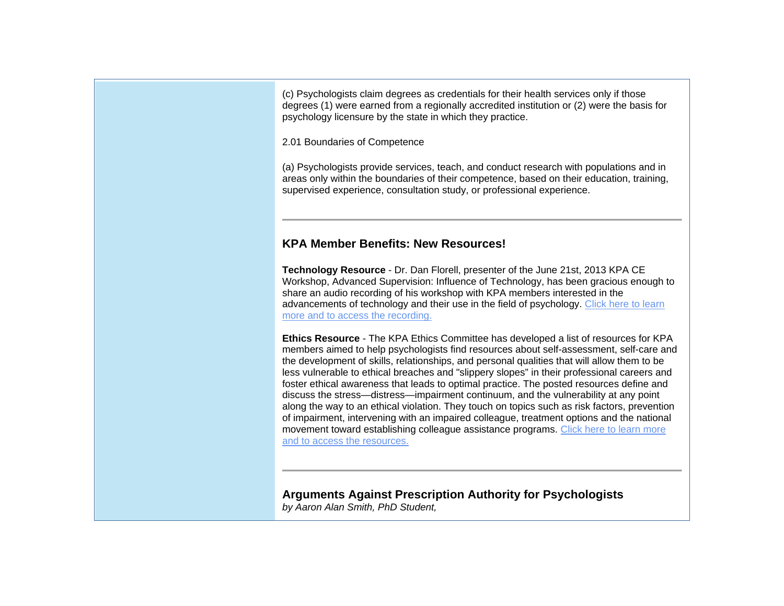(c) Psychologists claim degrees as credentials for their health services only if those degrees (1) were earned from a regionally accredited institution or (2) were the basis for psychology licensure by the state in which they practice.

2.01 Boundaries of Competence

(a) Psychologists provide services, teach, and conduct research with populations and in areas only within the boundaries of their competence, based on their education, training, supervised experience, consultation study, or professional experience.

# **KPA Member Benefits: New Resources!**

**Technology Resource** - Dr. Dan Florell, presenter of the June 21st, 2013 KPA CE Workshop, Advanced Supervision: Influence of Technology, has been gracious enough to share an audio recording of his workshop with KPA members interested in the advancements of technology and their use in the field of psychology. Click here to learn more and to access the recording.

**Ethics Resource** - The KPA Ethics Committee has developed a list of resources for KPA members aimed to help psychologists find resources about self-assessment, self-care and the development of skills, relationships, and personal qualities that will allow them to be less vulnerable to ethical breaches and "slippery slopes" in their professional careers and foster ethical awareness that leads to optimal practice. The posted resources define and discuss the stress—distress—impairment continuum, and the vulnerability at any point along the way to an ethical violation. They touch on topics such as risk factors, prevention of impairment, intervening with an impaired colleague, treatment options and the national movement toward establishing colleague assistance programs. Click here to learn more and to access the resources.

**Arguments Against Prescription Authority for Psychologists** *by Aaron Alan Smith, PhD Student,*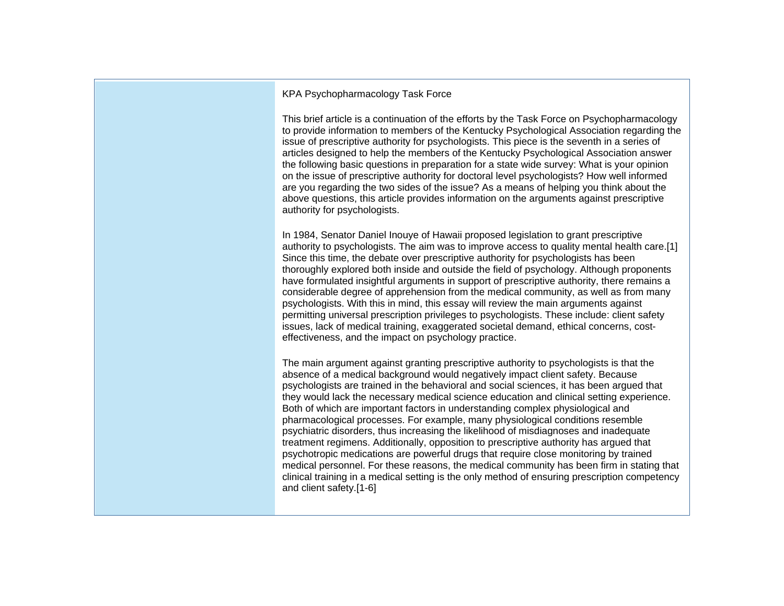KPA Psychopharmacology Task Force

This brief article is a continuation of the efforts by the Task Force on Psychopharmacology to provide information to members of the Kentucky Psychological Association regarding the issue of prescriptive authority for psychologists. This piece is the seventh in a series of articles designed to help the members of the Kentucky Psychological Association answer the following basic questions in preparation for a state wide survey: What is your opinion on the issue of prescriptive authority for doctoral level psychologists? How well informed are you regarding the two sides of the issue? As a means of helping you think about the above questions, this article provides information on the arguments against prescriptive authority for psychologists.

In 1984, Senator Daniel Inouye of Hawaii proposed legislation to grant prescriptive authority to psychologists. The aim was to improve access to quality mental health care.[1] Since this time, the debate over prescriptive authority for psychologists has been thoroughly explored both inside and outside the field of psychology. Although proponents have formulated insightful arguments in support of prescriptive authority, there remains a considerable degree of apprehension from the medical community, as well as from many psychologists. With this in mind, this essay will review the main arguments against permitting universal prescription privileges to psychologists. These include: client safety issues, lack of medical training, exaggerated societal demand, ethical concerns, costeffectiveness, and the impact on psychology practice.

The main argument against granting prescriptive authority to psychologists is that the absence of a medical background would negatively impact client safety. Because psychologists are trained in the behavioral and social sciences, it has been argued that they would lack the necessary medical science education and clinical setting experience. Both of which are important factors in understanding complex physiological and pharmacological processes. For example, many physiological conditions resemble psychiatric disorders, thus increasing the likelihood of misdiagnoses and inadequate treatment regimens. Additionally, opposition to prescriptive authority has argued that psychotropic medications are powerful drugs that require close monitoring by trained medical personnel. For these reasons, the medical community has been firm in stating that clinical training in a medical setting is the only method of ensuring prescription competency and client safety.[1-6]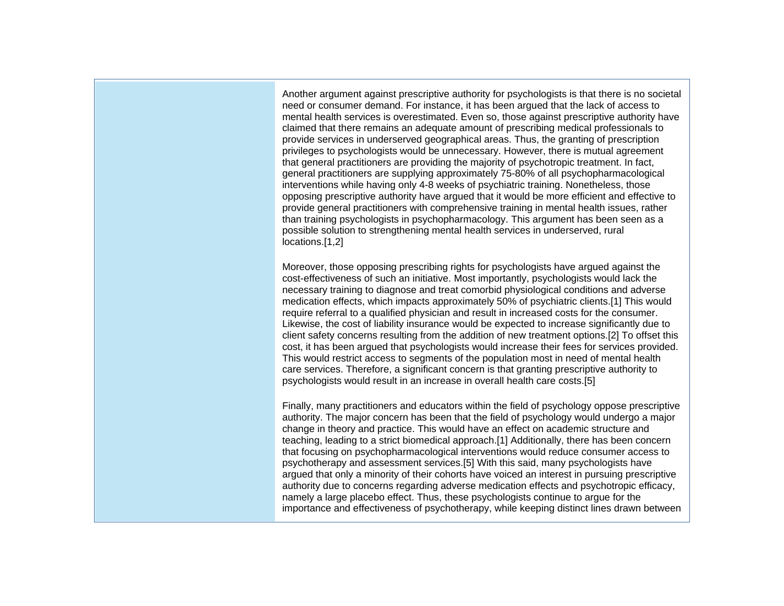Another argument against prescriptive authority for psychologists is that there is no societal need or consumer demand. For instance, it has been argued that the lack of access to mental health services is overestimated. Even so, those against prescriptive authority have claimed that there remains an adequate amount of prescribing medical professionals to provide services in underserved geographical areas. Thus, the granting of prescription privileges to psychologists would be unnecessary. However, there is mutual agreement that general practitioners are providing the majority of psychotropic treatment. In fact, general practitioners are supplying approximately 75-80% of all psychopharmacological interventions while having only 4-8 weeks of psychiatric training. Nonetheless, those opposing prescriptive authority have argued that it would be more efficient and effective to provide general practitioners with comprehensive training in mental health issues, rather than training psychologists in psychopharmacology. This argument has been seen as a possible solution to strengthening mental health services in underserved, rural locations.[1,2]

Moreover, those opposing prescribing rights for psychologists have argued against the cost-effectiveness of such an initiative. Most importantly, psychologists would lack the necessary training to diagnose and treat comorbid physiological conditions and adverse medication effects, which impacts approximately 50% of psychiatric clients.[1] This would require referral to a qualified physician and result in increased costs for the consumer. Likewise, the cost of liability insurance would be expected to increase significantly due to client safety concerns resulting from the addition of new treatment options.[2] To offset this cost, it has been argued that psychologists would increase their fees for services provided. This would restrict access to segments of the population most in need of mental health care services. Therefore, a significant concern is that granting prescriptive authority to psychologists would result in an increase in overall health care costs.[5]

Finally, many practitioners and educators within the field of psychology oppose prescriptive authority. The major concern has been that the field of psychology would undergo a major change in theory and practice. This would have an effect on academic structure and teaching, leading to a strict biomedical approach.[1] Additionally, there has been concern that focusing on psychopharmacological interventions would reduce consumer access to psychotherapy and assessment services.[5] With this said, many psychologists have argued that only a minority of their cohorts have voiced an interest in pursuing prescriptive authority due to concerns regarding adverse medication effects and psychotropic efficacy, namely a large placebo effect. Thus, these psychologists continue to argue for the importance and effectiveness of psychotherapy, while keeping distinct lines drawn between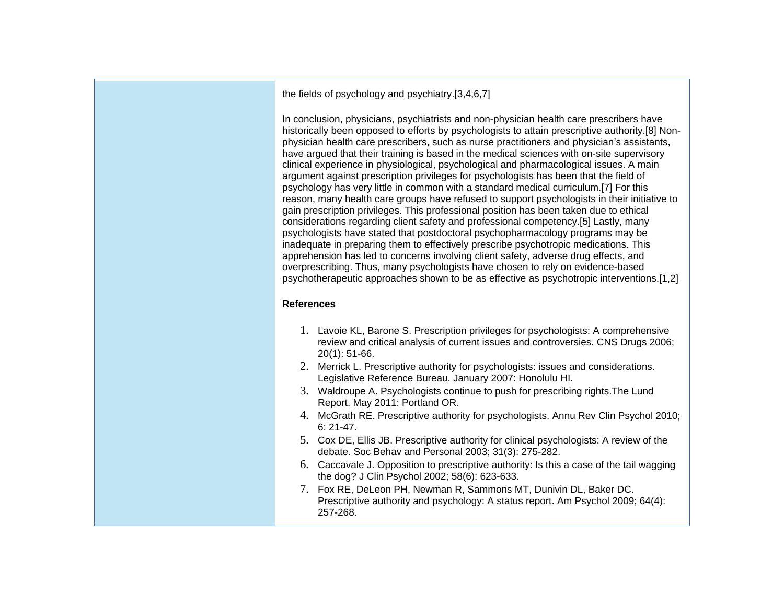the fields of psychology and psychiatry.[3,4,6,7]

In conclusion, physicians, psychiatrists and non-physician health care prescribers have historically been opposed to efforts by psychologists to attain prescriptive authority.[8] Nonphysician health care prescribers, such as nurse practitioners and physician's assistants, have argued that their training is based in the medical sciences with on-site supervisory clinical experience in physiological, psychological and pharmacological issues. A main argument against prescription privileges for psychologists has been that the field of psychology has very little in common with a standard medical curriculum.[7] For this reason, many health care groups have refused to support psychologists in their initiative to gain prescription privileges. This professional position has been taken due to ethical considerations regarding client safety and professional competency.[5] Lastly, many psychologists have stated that postdoctoral psychopharmacology programs may be inadequate in preparing them to effectively prescribe psychotropic medications. This apprehension has led to concerns involving client safety, adverse drug effects, and overprescribing. Thus, many psychologists have chosen to rely on evidence-based psychotherapeutic approaches shown to be as effective as psychotropic interventions.[1,2]

### **References**

- 1. Lavoie KL, Barone S. Prescription privileges for psychologists: A comprehensive review and critical analysis of current issues and controversies. CNS Drugs 2006; 20(1): 51-66.
- 2. Merrick L. Prescriptive authority for psychologists: issues and considerations. Legislative Reference Bureau. January 2007: Honolulu HI.
- 3. Waldroupe A. Psychologists continue to push for prescribing rights.The Lund Report. May 2011: Portland OR.
- 4. McGrath RE. Prescriptive authority for psychologists. Annu Rev Clin Psychol 2010; 6: 21-47.
- 5. Cox DE, Ellis JB. Prescriptive authority for clinical psychologists: A review of the debate. Soc Behav and Personal 2003; 31(3): 275-282.
- 6. Caccavale J. Opposition to prescriptive authority: Is this a case of the tail wagging the dog? J Clin Psychol 2002; 58(6): 623-633.
- 7. Fox RE, DeLeon PH, Newman R, Sammons MT, Dunivin DL, Baker DC. Prescriptive authority and psychology: A status report. Am Psychol 2009; 64(4): 257-268.